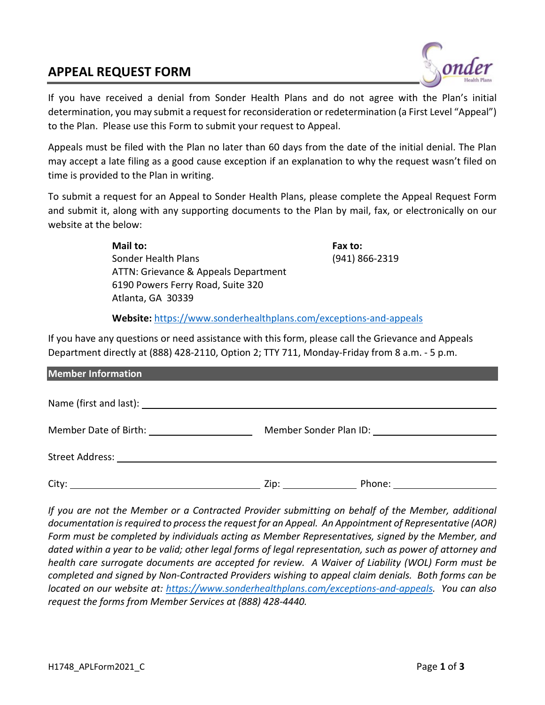## **APPEAL REQUEST FORM**



If you have received a denial from Sonder Health Plans and do not agree with the Plan's initial determination, you may submit a request for reconsideration or redetermination (a First Level "Appeal") to the Plan. Please use this Form to submit your request to Appeal.

Appeals must be filed with the Plan no later than 60 days from the date of the initial denial. The Plan may accept a late filing as a good cause exception if an explanation to why the request wasn't filed on time is provided to the Plan in writing.

To submit a request for an Appeal to Sonder Health Plans, please complete the Appeal Request Form and submit it, along with any supporting documents to the Plan by mail, fax, or electronically on our website at the below:

> **Mail to: Fax to:** Sonder Health Plans (941) 866-2319 ATTN: Grievance & Appeals Department 6190 Powers Ferry Road, Suite 320 Atlanta, GA 30339

**Website:** <https://www.sonderhealthplans.com/exceptions-and-appeals>

If you have any questions or need assistance with this form, please call the Grievance and Appeals Department directly at (888) 428-2110, Option 2; TTY 711, Monday-Friday from 8 a.m. - 5 p.m.

| <b>Member Information</b>                                            |                |
|----------------------------------------------------------------------|----------------|
|                                                                      |                |
| Member Date of Birth: Network of Birth and the Member Date of Birth: |                |
|                                                                      |                |
| City:<br><u> 1989 - Johann Barbara, martxa alemaniar a</u>           | Zip:<br>Phone: |

*If you are not the Member or a Contracted Provider submitting on behalf of the Member, additional*  documentation is required to process the request for an Appeal. An Appointment of Representative (AOR) *Form must be completed by individuals acting as Member Representatives, signed by the Member, and dated within a year to be valid; other legal forms of legal representation, such as power of attorney and health care surrogate documents are accepted for review. A Waiver of Liability (WOL) Form must be completed and signed by Non-Contracted Providers wishing to appeal claim denials. Both forms can be located on our website at: [https://www.sonderhealthplans.com/exceptions-and-appeals.](https://www.sonderhealthplans.com/exceptions-and-appeals) You can also request the forms from Member Services at (888) 428-4440.*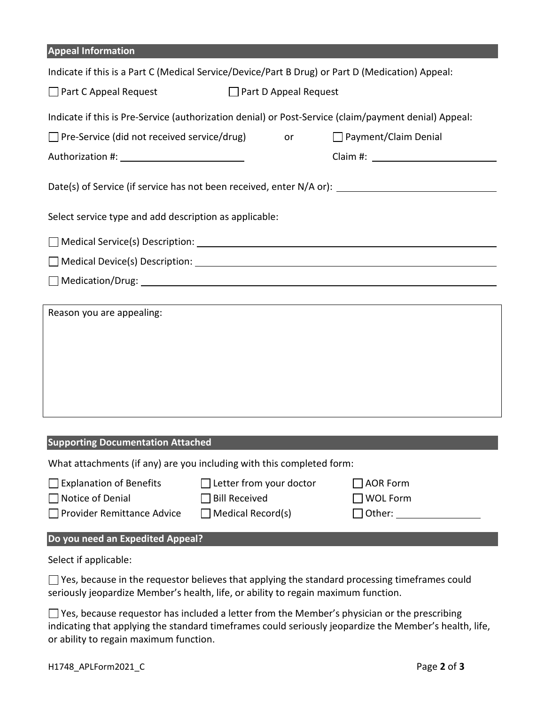| <b>Appeal Information</b>                                                                             |                                                                      |  |                                                     |  |  |
|-------------------------------------------------------------------------------------------------------|----------------------------------------------------------------------|--|-----------------------------------------------------|--|--|
| Indicate if this is a Part C (Medical Service/Device/Part B Drug) or Part D (Medication) Appeal:      |                                                                      |  |                                                     |  |  |
| Part C Appeal Request<br>$\Box$ Part D Appeal Request                                                 |                                                                      |  |                                                     |  |  |
| Indicate if this is Pre-Service (authorization denial) or Post-Service (claim/payment denial) Appeal: |                                                                      |  |                                                     |  |  |
| $\Box$ Pre-Service (did not received service/drug)<br>$\Box$ Payment/Claim Denial<br>or               |                                                                      |  |                                                     |  |  |
|                                                                                                       |                                                                      |  |                                                     |  |  |
| Date(s) of Service (if service has not been received, enter N/A or): _______________________________  |                                                                      |  |                                                     |  |  |
| Select service type and add description as applicable:                                                |                                                                      |  |                                                     |  |  |
|                                                                                                       |                                                                      |  |                                                     |  |  |
|                                                                                                       |                                                                      |  |                                                     |  |  |
|                                                                                                       |                                                                      |  |                                                     |  |  |
| Reason you are appealing:                                                                             |                                                                      |  |                                                     |  |  |
| <b>Supporting Documentation Attached</b>                                                              |                                                                      |  |                                                     |  |  |
| What attachments (if any) are you including with this completed form:                                 |                                                                      |  |                                                     |  |  |
| <b>Explanation of Benefits</b><br>Notice of Denial<br>Provider Remittance Advice                      | Letter from your doctor<br><b>Bill Received</b><br>Medical Record(s) |  | <b>AOR Form</b><br><b>WOL Form</b><br>Other: $\_\_$ |  |  |
| Do you need an Expedited Appeal?                                                                      |                                                                      |  |                                                     |  |  |
| Select if applicable:                                                                                 |                                                                      |  |                                                     |  |  |
| Yes, because in the requestor believes that applying the standard processing timeframes could         |                                                                      |  |                                                     |  |  |

seriously jeopardize Member's health, life, or ability to regain maximum function.

Yes, because requestor has included a letter from the Member's physician or the prescribing indicating that applying the standard timeframes could seriously jeopardize the Member's health, life, or ability to regain maximum function.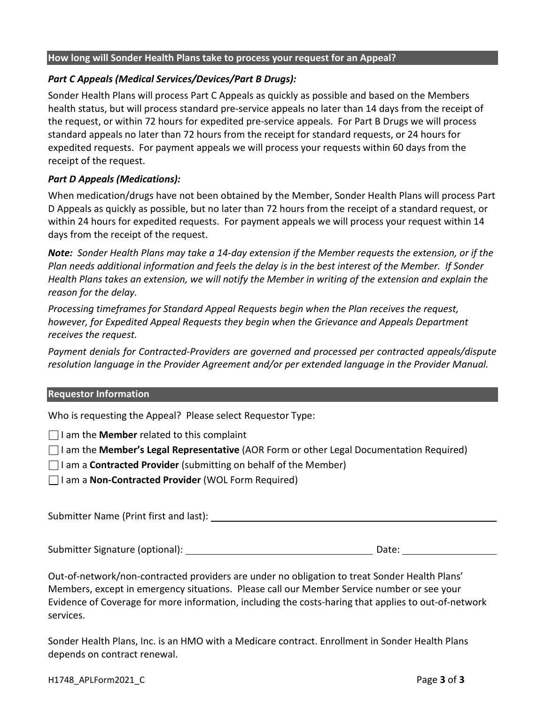#### **How long will Sonder Health Plans take to process your request for an Appeal?**

#### *Part C Appeals (Medical Services/Devices/Part B Drugs):*

Sonder Health Plans will process Part C Appeals as quickly as possible and based on the Members health status, but will process standard pre-service appeals no later than 14 days from the receipt of the request, or within 72 hours for expedited pre-service appeals. For Part B Drugs we will process standard appeals no later than 72 hours from the receipt for standard requests, or 24 hours for expedited requests. For payment appeals we will process your requests within 60 days from the receipt of the request.

#### *Part D Appeals (Medications):*

When medication/drugs have not been obtained by the Member, Sonder Health Plans will process Part D Appeals as quickly as possible, but no later than 72 hours from the receipt of a standard request, or within 24 hours for expedited requests. For payment appeals we will process your request within 14 days from the receipt of the request.

*Note: Sonder Health Plans may take a 14-day extension if the Member requests the extension, or if the Plan needs additional information and feels the delay is in the best interest of the Member. If Sonder Health Plans takes an extension, we will notify the Member in writing of the extension and explain the reason for the delay.* 

*Processing timeframes for Standard Appeal Requests begin when the Plan receives the request, however, for Expedited Appeal Requests they begin when the Grievance and Appeals Department receives the request.*

*Payment denials for Contracted-Providers are governed and processed per contracted appeals/dispute resolution language in the Provider Agreement and/or per extended language in the Provider Manual.*

#### **Requestor Information**

Who is requesting the Appeal? Please select Requestor Type:

 $\Box$  I am the **Member** related to this complaint

I am the **Member's Legal Representative** (AOR Form or other Legal Documentation Required)

I am a **Contracted Provider** (submitting on behalf of the Member)

I am a **Non-Contracted Provider** (WOL Form Required)

Submitter Name (Print first and last):

Submitter Signature (optional): Date:

Out-of-network/non-contracted providers are under no obligation to treat Sonder Health Plans' Members, except in emergency situations. Please call our Member Service number or see your Evidence of Coverage for more information, including the costs-haring that applies to out-of-network services.

Sonder Health Plans, Inc. is an HMO with a Medicare contract. Enrollment in Sonder Health Plans depends on contract renewal.

H1748\_APLForm2021\_C Page **3** of **3**